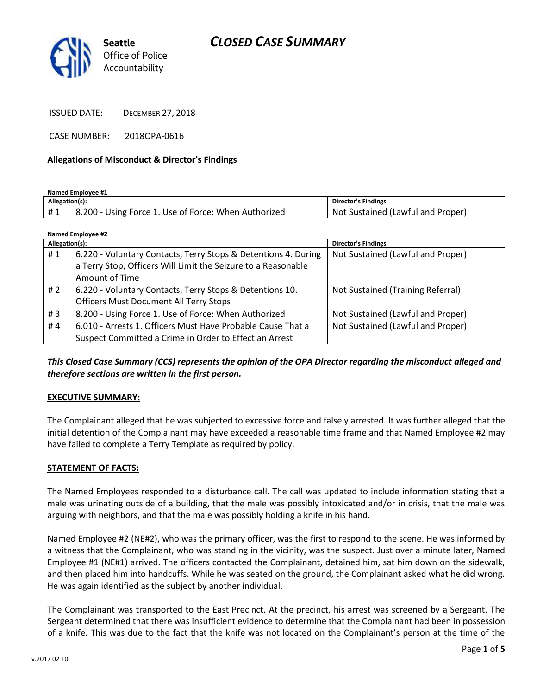



ISSUED DATE: DECEMBER 27, 2018

CASE NUMBER: 2018OPA-0616

#### **Allegations of Misconduct & Director's Findings**

**Named Employee #1**

| Allegation(s): |                                                     | Director's Findings               |
|----------------|-----------------------------------------------------|-----------------------------------|
|                | .200 - Using Force 1. Use of Force: When Authorized | Not Sustained (Lawful and Proper) |

| Named Employee #2 |                                                                |                                   |
|-------------------|----------------------------------------------------------------|-----------------------------------|
| Allegation(s):    |                                                                | <b>Director's Findings</b>        |
| #1                | 6.220 - Voluntary Contacts, Terry Stops & Detentions 4. During | Not Sustained (Lawful and Proper) |
|                   | a Terry Stop, Officers Will Limit the Seizure to a Reasonable  |                                   |
|                   | Amount of Time                                                 |                                   |
| # $2$             | 6.220 - Voluntary Contacts, Terry Stops & Detentions 10.       | Not Sustained (Training Referral) |
|                   | <b>Officers Must Document All Terry Stops</b>                  |                                   |
| #3                | 8.200 - Using Force 1. Use of Force: When Authorized           | Not Sustained (Lawful and Proper) |
| #4                | 6.010 - Arrests 1. Officers Must Have Probable Cause That a    | Not Sustained (Lawful and Proper) |
|                   | Suspect Committed a Crime in Order to Effect an Arrest         |                                   |

*This Closed Case Summary (CCS) represents the opinion of the OPA Director regarding the misconduct alleged and therefore sections are written in the first person.* 

#### **EXECUTIVE SUMMARY:**

The Complainant alleged that he was subjected to excessive force and falsely arrested. It was further alleged that the initial detention of the Complainant may have exceeded a reasonable time frame and that Named Employee #2 may have failed to complete a Terry Template as required by policy.

#### **STATEMENT OF FACTS:**

The Named Employees responded to a disturbance call. The call was updated to include information stating that a male was urinating outside of a building, that the male was possibly intoxicated and/or in crisis, that the male was arguing with neighbors, and that the male was possibly holding a knife in his hand.

Named Employee #2 (NE#2), who was the primary officer, was the first to respond to the scene. He was informed by a witness that the Complainant, who was standing in the vicinity, was the suspect. Just over a minute later, Named Employee #1 (NE#1) arrived. The officers contacted the Complainant, detained him, sat him down on the sidewalk, and then placed him into handcuffs. While he was seated on the ground, the Complainant asked what he did wrong. He was again identified as the subject by another individual.

The Complainant was transported to the East Precinct. At the precinct, his arrest was screened by a Sergeant. The Sergeant determined that there was insufficient evidence to determine that the Complainant had been in possession of a knife. This was due to the fact that the knife was not located on the Complainant's person at the time of the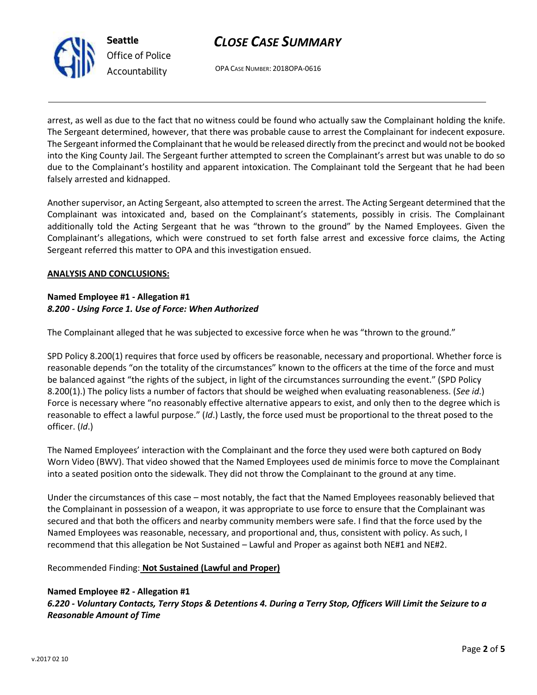

OPA CASE NUMBER: 2018OPA-0616

arrest, as well as due to the fact that no witness could be found who actually saw the Complainant holding the knife. The Sergeant determined, however, that there was probable cause to arrest the Complainant for indecent exposure. The Sergeant informed the Complainant that he would be released directly from the precinct and would not be booked into the King County Jail. The Sergeant further attempted to screen the Complainant's arrest but was unable to do so due to the Complainant's hostility and apparent intoxication. The Complainant told the Sergeant that he had been falsely arrested and kidnapped.

Another supervisor, an Acting Sergeant, also attempted to screen the arrest. The Acting Sergeant determined that the Complainant was intoxicated and, based on the Complainant's statements, possibly in crisis. The Complainant additionally told the Acting Sergeant that he was "thrown to the ground" by the Named Employees. Given the Complainant's allegations, which were construed to set forth false arrest and excessive force claims, the Acting Sergeant referred this matter to OPA and this investigation ensued.

### **ANALYSIS AND CONCLUSIONS:**

## **Named Employee #1 - Allegation #1** *8.200 - Using Force 1. Use of Force: When Authorized*

The Complainant alleged that he was subjected to excessive force when he was "thrown to the ground."

SPD Policy 8.200(1) requires that force used by officers be reasonable, necessary and proportional. Whether force is reasonable depends "on the totality of the circumstances" known to the officers at the time of the force and must be balanced against "the rights of the subject, in light of the circumstances surrounding the event." (SPD Policy 8.200(1).) The policy lists a number of factors that should be weighed when evaluating reasonableness. (*See id*.) Force is necessary where "no reasonably effective alternative appears to exist, and only then to the degree which is reasonable to effect a lawful purpose." (*Id*.) Lastly, the force used must be proportional to the threat posed to the officer. (*Id*.)

The Named Employees' interaction with the Complainant and the force they used were both captured on Body Worn Video (BWV). That video showed that the Named Employees used de minimis force to move the Complainant into a seated position onto the sidewalk. They did not throw the Complainant to the ground at any time.

Under the circumstances of this case – most notably, the fact that the Named Employees reasonably believed that the Complainant in possession of a weapon, it was appropriate to use force to ensure that the Complainant was secured and that both the officers and nearby community members were safe. I find that the force used by the Named Employees was reasonable, necessary, and proportional and, thus, consistent with policy. As such, I recommend that this allegation be Not Sustained – Lawful and Proper as against both NE#1 and NE#2.

## Recommended Finding: **Not Sustained (Lawful and Proper)**

## **Named Employee #2 - Allegation #1** *6.220 - Voluntary Contacts, Terry Stops & Detentions 4. During a Terry Stop, Officers Will Limit the Seizure to a Reasonable Amount of Time*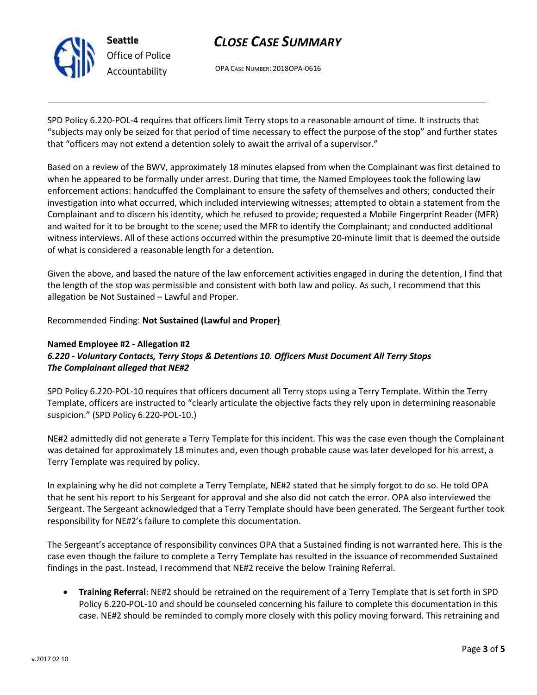

# *CLOSE CASE SUMMARY*

OPA CASE NUMBER: 2018OPA-0616

SPD Policy 6.220-POL-4 requires that officers limit Terry stops to a reasonable amount of time. It instructs that "subjects may only be seized for that period of time necessary to effect the purpose of the stop" and further states that "officers may not extend a detention solely to await the arrival of a supervisor."

Based on a review of the BWV, approximately 18 minutes elapsed from when the Complainant was first detained to when he appeared to be formally under arrest. During that time, the Named Employees took the following law enforcement actions: handcuffed the Complainant to ensure the safety of themselves and others; conducted their investigation into what occurred, which included interviewing witnesses; attempted to obtain a statement from the Complainant and to discern his identity, which he refused to provide; requested a Mobile Fingerprint Reader (MFR) and waited for it to be brought to the scene; used the MFR to identify the Complainant; and conducted additional witness interviews. All of these actions occurred within the presumptive 20-minute limit that is deemed the outside of what is considered a reasonable length for a detention.

Given the above, and based the nature of the law enforcement activities engaged in during the detention, I find that the length of the stop was permissible and consistent with both law and policy. As such, I recommend that this allegation be Not Sustained – Lawful and Proper.

Recommended Finding: **Not Sustained (Lawful and Proper)**

## **Named Employee #2 - Allegation #2** *6.220 - Voluntary Contacts, Terry Stops & Detentions 10. Officers Must Document All Terry Stops The Complainant alleged that NE#2*

SPD Policy 6.220-POL-10 requires that officers document all Terry stops using a Terry Template. Within the Terry Template, officers are instructed to "clearly articulate the objective facts they rely upon in determining reasonable suspicion." (SPD Policy 6.220-POL-10.)

NE#2 admittedly did not generate a Terry Template for this incident. This was the case even though the Complainant was detained for approximately 18 minutes and, even though probable cause was later developed for his arrest, a Terry Template was required by policy.

In explaining why he did not complete a Terry Template, NE#2 stated that he simply forgot to do so. He told OPA that he sent his report to his Sergeant for approval and she also did not catch the error. OPA also interviewed the Sergeant. The Sergeant acknowledged that a Terry Template should have been generated. The Sergeant further took responsibility for NE#2's failure to complete this documentation.

The Sergeant's acceptance of responsibility convinces OPA that a Sustained finding is not warranted here. This is the case even though the failure to complete a Terry Template has resulted in the issuance of recommended Sustained findings in the past. Instead, I recommend that NE#2 receive the below Training Referral.

• **Training Referral**: NE#2 should be retrained on the requirement of a Terry Template that is set forth in SPD Policy 6.220-POL-10 and should be counseled concerning his failure to complete this documentation in this case. NE#2 should be reminded to comply more closely with this policy moving forward. This retraining and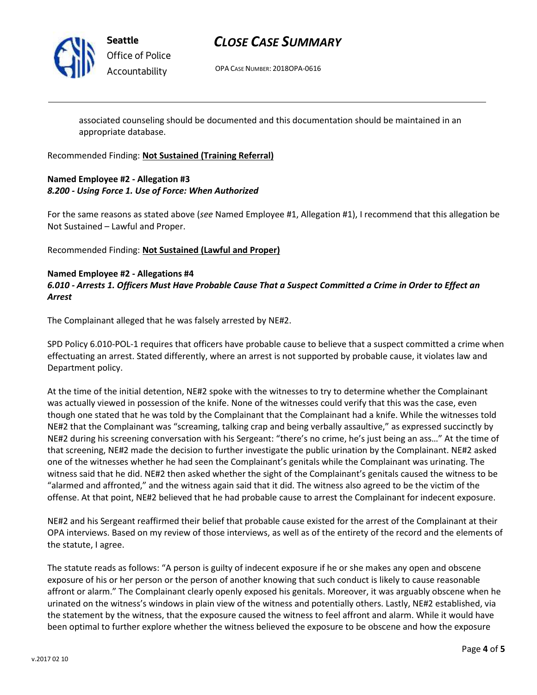

## *CLOSE CASE SUMMARY*

OPA CASE NUMBER: 2018OPA-0616

associated counseling should be documented and this documentation should be maintained in an appropriate database.

Recommended Finding: **Not Sustained (Training Referral)**

## **Named Employee #2 - Allegation #3** *8.200 - Using Force 1. Use of Force: When Authorized*

For the same reasons as stated above (*see* Named Employee #1, Allegation #1), I recommend that this allegation be Not Sustained – Lawful and Proper.

Recommended Finding: **Not Sustained (Lawful and Proper)**

### **Named Employee #2 - Allegations #4**

*6.010 - Arrests 1. Officers Must Have Probable Cause That a Suspect Committed a Crime in Order to Effect an Arrest*

The Complainant alleged that he was falsely arrested by NE#2.

SPD Policy 6.010-POL-1 requires that officers have probable cause to believe that a suspect committed a crime when effectuating an arrest. Stated differently, where an arrest is not supported by probable cause, it violates law and Department policy.

At the time of the initial detention, NE#2 spoke with the witnesses to try to determine whether the Complainant was actually viewed in possession of the knife. None of the witnesses could verify that this was the case, even though one stated that he was told by the Complainant that the Complainant had a knife. While the witnesses told NE#2 that the Complainant was "screaming, talking crap and being verbally assaultive," as expressed succinctly by NE#2 during his screening conversation with his Sergeant: "there's no crime, he's just being an ass…" At the time of that screening, NE#2 made the decision to further investigate the public urination by the Complainant. NE#2 asked one of the witnesses whether he had seen the Complainant's genitals while the Complainant was urinating. The witness said that he did. NE#2 then asked whether the sight of the Complainant's genitals caused the witness to be "alarmed and affronted," and the witness again said that it did. The witness also agreed to be the victim of the offense. At that point, NE#2 believed that he had probable cause to arrest the Complainant for indecent exposure.

NE#2 and his Sergeant reaffirmed their belief that probable cause existed for the arrest of the Complainant at their OPA interviews. Based on my review of those interviews, as well as of the entirety of the record and the elements of the statute, I agree.

The statute reads as follows: "A person is guilty of indecent exposure if he or she makes any open and obscene exposure of his or her person or the person of another knowing that such conduct is likely to cause reasonable affront or alarm." The Complainant clearly openly exposed his genitals. Moreover, it was arguably obscene when he urinated on the witness's windows in plain view of the witness and potentially others. Lastly, NE#2 established, via the statement by the witness, that the exposure caused the witness to feel affront and alarm. While it would have been optimal to further explore whether the witness believed the exposure to be obscene and how the exposure